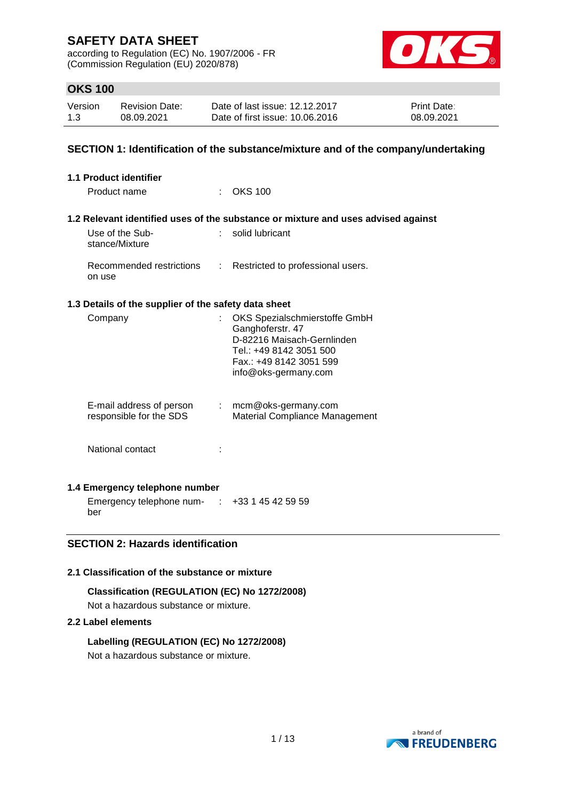according to Regulation (EC) No. 1907/2006 - FR (Commission Regulation (EU) 2020/878)



# **OKS 100**

| Version | <b>Revision Date:</b> | Date of last issue: 12.12.2017  | <b>Print Date:</b> |
|---------|-----------------------|---------------------------------|--------------------|
| 1.3     | 08.09.2021            | Date of first issue: 10.06.2016 | 08.09.2021         |

# **SECTION 1: Identification of the substance/mixture and of the company/undertaking**

| <b>1.1 Product identifier</b>                        |                       |                                                                                                                                                               |
|------------------------------------------------------|-----------------------|---------------------------------------------------------------------------------------------------------------------------------------------------------------|
| Product name                                         | t.                    | <b>OKS 100</b>                                                                                                                                                |
|                                                      |                       | 1.2 Relevant identified uses of the substance or mixture and uses advised against                                                                             |
| Use of the Sub-<br>stance/Mixture                    | t.                    | solid lubricant                                                                                                                                               |
| Recommended restrictions<br>on use                   | ÷.                    | Restricted to professional users.                                                                                                                             |
| 1.3 Details of the supplier of the safety data sheet |                       |                                                                                                                                                               |
| Company                                              |                       | OKS Spezialschmierstoffe GmbH<br>Ganghoferstr. 47<br>D-82216 Maisach-Gernlinden<br>Tel.: +49 8142 3051 500<br>Fax.: +49 8142 3051 599<br>info@oks-germany.com |
| E-mail address of person<br>responsible for the SDS  | $\mathbb{Z}^{\times}$ | mcm@oks-germany.com<br>Material Compliance Management                                                                                                         |
| National contact                                     |                       |                                                                                                                                                               |

# **1.4 Emergency telephone number**

Emergency telephone num-: +33 1 45 42 59 59 ber

# **SECTION 2: Hazards identification**

### **2.1 Classification of the substance or mixture**

#### **Classification (REGULATION (EC) No 1272/2008)**

Not a hazardous substance or mixture.

### **2.2 Label elements**

### **Labelling (REGULATION (EC) No 1272/2008)**

Not a hazardous substance or mixture.

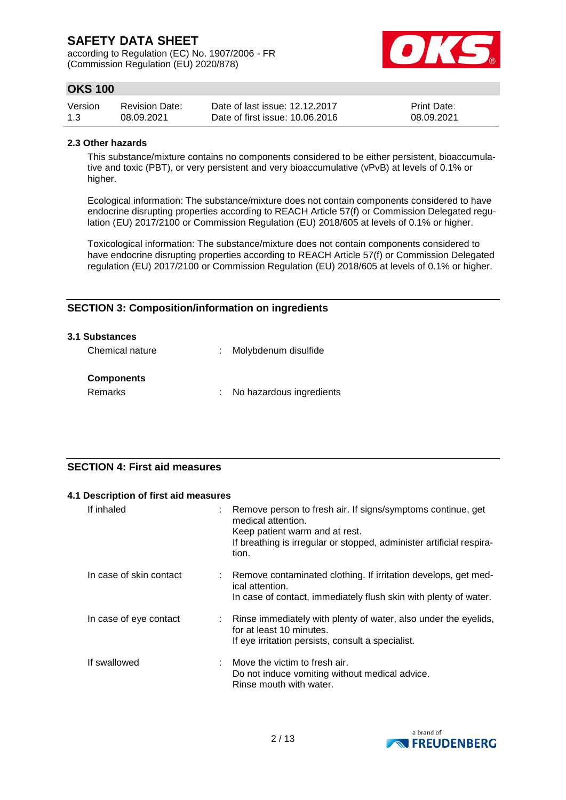according to Regulation (EC) No. 1907/2006 - FR (Commission Regulation (EU) 2020/878)



# **OKS 100**

| Version | <b>Revision Date:</b> | Date of last issue: 12.12.2017  | <b>Print Date:</b> |
|---------|-----------------------|---------------------------------|--------------------|
| 1.3     | 08.09.2021            | Date of first issue: 10.06.2016 | 08.09.2021         |

#### **2.3 Other hazards**

This substance/mixture contains no components considered to be either persistent, bioaccumulative and toxic (PBT), or very persistent and very bioaccumulative (vPvB) at levels of 0.1% or higher.

Ecological information: The substance/mixture does not contain components considered to have endocrine disrupting properties according to REACH Article 57(f) or Commission Delegated regulation (EU) 2017/2100 or Commission Regulation (EU) 2018/605 at levels of 0.1% or higher.

Toxicological information: The substance/mixture does not contain components considered to have endocrine disrupting properties according to REACH Article 57(f) or Commission Delegated regulation (EU) 2017/2100 or Commission Regulation (EU) 2018/605 at levels of 0.1% or higher.

# **SECTION 3: Composition/information on ingredients**

| 3.1 Substances               |                            |
|------------------------------|----------------------------|
| Chemical nature              | : Molybdenum disulfide     |
| <b>Components</b><br>Remarks | : No hazardous ingredients |

# **SECTION 4: First aid measures**

|                         | 4.1 Description of first aid measures |                                                                                                                                                                                                      |  |  |  |
|-------------------------|---------------------------------------|------------------------------------------------------------------------------------------------------------------------------------------------------------------------------------------------------|--|--|--|
| If inhaled              |                                       | Remove person to fresh air. If signs/symptoms continue, get<br>medical attention.<br>Keep patient warm and at rest.<br>If breathing is irregular or stopped, administer artificial respira-<br>tion. |  |  |  |
| In case of skin contact |                                       | Remove contaminated clothing. If irritation develops, get med-<br>ical attention.<br>In case of contact, immediately flush skin with plenty of water.                                                |  |  |  |
| In case of eye contact  |                                       | Rinse immediately with plenty of water, also under the eyelids,<br>for at least 10 minutes.<br>If eye irritation persists, consult a specialist.                                                     |  |  |  |
| If swallowed            |                                       | Move the victim to fresh air.<br>Do not induce vomiting without medical advice.<br>Rinse mouth with water.                                                                                           |  |  |  |

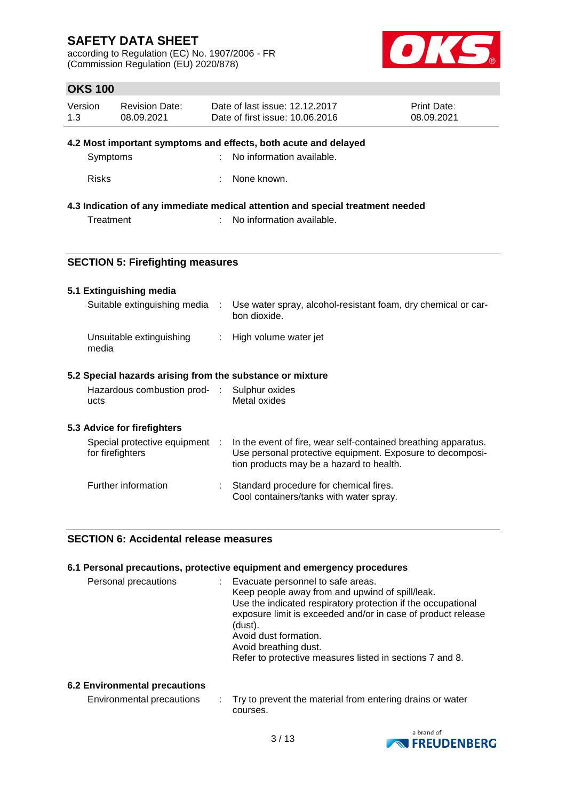according to Regulation (EC) No. 1907/2006 - FR (Commission Regulation (EU) 2020/878)



# **OKS 100**

| Version | <b>Revision Date:</b> | Date of last issue: 12.12.2017  | <b>Print Date:</b> |
|---------|-----------------------|---------------------------------|--------------------|
| 1.3     | 08.09.2021            | Date of first issue: 10.06.2016 | 08.09.2021         |

#### **4.2 Most important symptoms and effects, both acute and delayed**

| Symptoms | : No information available. |
|----------|-----------------------------|
|          |                             |

Risks : None known.

### **4.3 Indication of any immediate medical attention and special treatment needed**

Treatment : No information available.

# **SECTION 5: Firefighting measures**

### **5.1 Extinguishing media**

| Suitable extinguishing media      | Use water spray, alcohol-resistant foam, dry chemical or car-<br>bon dioxide. |
|-----------------------------------|-------------------------------------------------------------------------------|
| Unsuitable extinguishing<br>media | : High volume water jet                                                       |

# **5.2 Special hazards arising from the substance or mixture**

| Hazardous combustion prod- | : Sulphur oxides |
|----------------------------|------------------|
| ucts                       | Metal oxides     |

### **5.3 Advice for firefighters**

| Special protective equipment :<br>for firefighters | In the event of fire, wear self-contained breathing apparatus.<br>Use personal protective equipment. Exposure to decomposi-<br>tion products may be a hazard to health. |
|----------------------------------------------------|-------------------------------------------------------------------------------------------------------------------------------------------------------------------------|
| Further information                                | Standard procedure for chemical fires.<br>Cool containers/tanks with water spray.                                                                                       |

### **SECTION 6: Accidental release measures**

|                      | 6.1 Personal precautions, protective equipment and emergency procedures                                                                                                                                                                                                                                                                       |
|----------------------|-----------------------------------------------------------------------------------------------------------------------------------------------------------------------------------------------------------------------------------------------------------------------------------------------------------------------------------------------|
| Personal precautions | Evacuate personnel to safe areas.<br>Keep people away from and upwind of spill/leak.<br>Use the indicated respiratory protection if the occupational<br>exposure limit is exceeded and/or in case of product release<br>(dust).<br>Avoid dust formation.<br>Avoid breathing dust.<br>Refer to protective measures listed in sections 7 and 8. |
|                      |                                                                                                                                                                                                                                                                                                                                               |

### **6.2 Environmental precautions**

| Environmental precautions | Try to prevent the material from entering drains or water |
|---------------------------|-----------------------------------------------------------|
|                           | courses.                                                  |

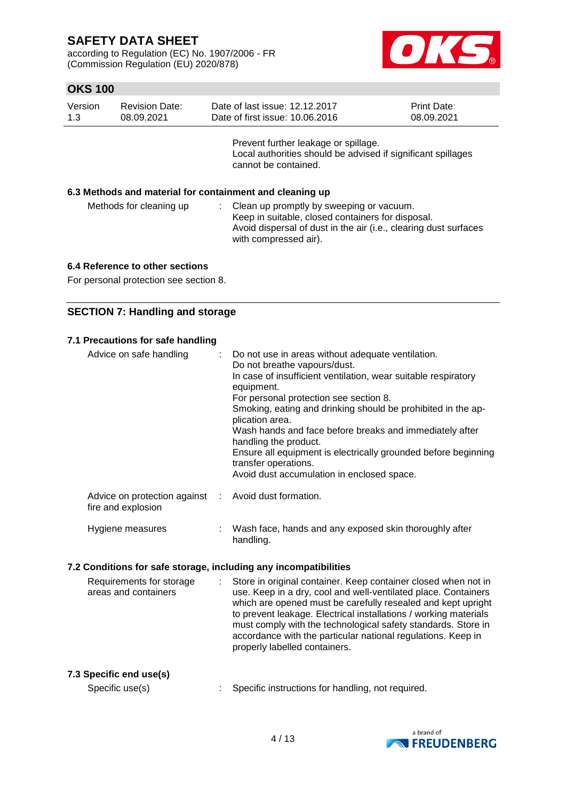according to Regulation (EC) No. 1907/2006 - FR (Commission Regulation (EU) 2020/878)



# **OKS 100**

| Version | <b>Revision Date:</b> | Date of last issue: 12.12.2017  | <b>Print Date:</b> |
|---------|-----------------------|---------------------------------|--------------------|
| -1.3    | 08.09.2021            | Date of first issue: 10.06.2016 | 08.09.2021         |
|         |                       |                                 |                    |

Prevent further leakage or spillage. Local authorities should be advised if significant spillages cannot be contained.

#### **6.3 Methods and material for containment and cleaning up**

| Methods for cleaning up | : Clean up promptly by sweeping or vacuum.                       |
|-------------------------|------------------------------------------------------------------|
|                         | Keep in suitable, closed containers for disposal.                |
|                         | Avoid dispersal of dust in the air (i.e., clearing dust surfaces |
|                         | with compressed air).                                            |

#### **6.4 Reference to other sections**

For personal protection see section 8.

# **SECTION 7: Handling and storage**

# **7.1 Precautions for safe handling**

| Advice on safe handling                                                    | : Do not use in areas without adequate ventilation.<br>Do not breathe vapours/dust.<br>In case of insufficient ventilation, wear suitable respiratory<br>equipment.<br>For personal protection see section 8.<br>Smoking, eating and drinking should be prohibited in the ap-<br>plication area.<br>Wash hands and face before breaks and immediately after<br>handling the product.<br>Ensure all equipment is electrically grounded before beginning<br>transfer operations.<br>Avoid dust accumulation in enclosed space. |
|----------------------------------------------------------------------------|------------------------------------------------------------------------------------------------------------------------------------------------------------------------------------------------------------------------------------------------------------------------------------------------------------------------------------------------------------------------------------------------------------------------------------------------------------------------------------------------------------------------------|
| Advice on protection against : Avoid dust formation.<br>fire and explosion |                                                                                                                                                                                                                                                                                                                                                                                                                                                                                                                              |

Hygiene measures : Wash face, hands and any exposed skin thoroughly after handling.

#### **7.2 Conditions for safe storage, including any incompatibilities**

Requirements for storage areas and containers : Store in original container. Keep container closed when not in use. Keep in a dry, cool and well-ventilated place. Containers which are opened must be carefully resealed and kept upright to prevent leakage. Electrical installations / working materials must comply with the technological safety standards. Store in accordance with the particular national regulations. Keep in properly labelled containers.

# **7.3 Specific end use(s)**

Specific use(s) : Specific instructions for handling, not required.

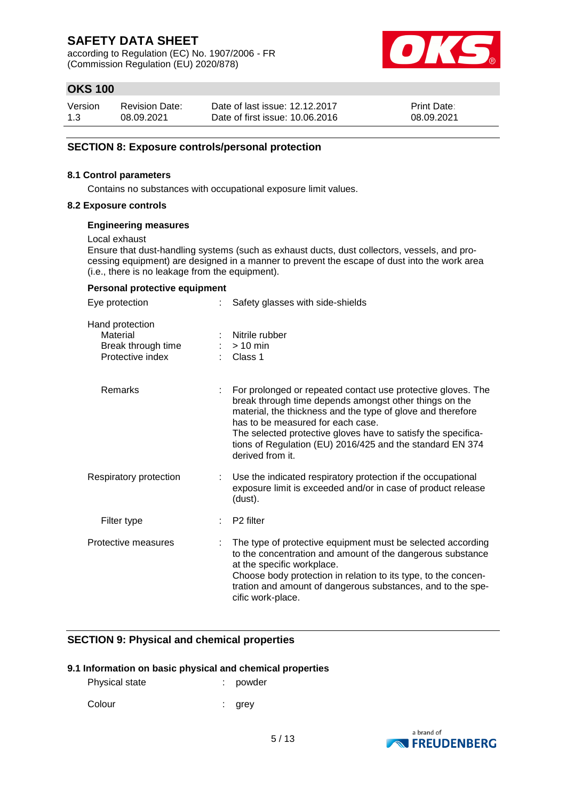according to Regulation (EC) No. 1907/2006 - FR (Commission Regulation (EU) 2020/878)



# **OKS 100**

| Version | <b>Revision Date:</b> | Date of last issue: 12.12.2017  | <b>Print Date:</b> |
|---------|-----------------------|---------------------------------|--------------------|
| 1.3     | 08.09.2021            | Date of first issue: 10.06.2016 | 08.09.2021         |

#### **SECTION 8: Exposure controls/personal protection**

#### **8.1 Control parameters**

Contains no substances with occupational exposure limit values.

#### **8.2 Exposure controls**

#### **Engineering measures**

Local exhaust

Ensure that dust-handling systems (such as exhaust ducts, dust collectors, vessels, and processing equipment) are designed in a manner to prevent the escape of dust into the work area (i.e., there is no leakage from the equipment).

### **Personal protective equipment**

| Eye protection                                                        |  | Safety glasses with side-shields                                                                                                                                                                                                                                                                                                                                             |  |  |
|-----------------------------------------------------------------------|--|------------------------------------------------------------------------------------------------------------------------------------------------------------------------------------------------------------------------------------------------------------------------------------------------------------------------------------------------------------------------------|--|--|
| Hand protection<br>Material<br>Break through time<br>Protective index |  | Nitrile rubber<br>$> 10$ min<br>$\therefore$ Class 1                                                                                                                                                                                                                                                                                                                         |  |  |
| <b>Remarks</b>                                                        |  | For prolonged or repeated contact use protective gloves. The<br>break through time depends amongst other things on the<br>material, the thickness and the type of glove and therefore<br>has to be measured for each case.<br>The selected protective gloves have to satisfy the specifica-<br>tions of Regulation (EU) 2016/425 and the standard EN 374<br>derived from it. |  |  |
| Respiratory protection                                                |  | Use the indicated respiratory protection if the occupational<br>exposure limit is exceeded and/or in case of product release<br>(dust).                                                                                                                                                                                                                                      |  |  |
| Filter type                                                           |  | P <sub>2</sub> filter                                                                                                                                                                                                                                                                                                                                                        |  |  |
| Protective measures                                                   |  | The type of protective equipment must be selected according<br>to the concentration and amount of the dangerous substance<br>at the specific workplace.<br>Choose body protection in relation to its type, to the concen-<br>tration and amount of dangerous substances, and to the spe-<br>cific work-place.                                                                |  |  |

# **SECTION 9: Physical and chemical properties**

#### **9.1 Information on basic physical and chemical properties**

| Physical state |  | powder |
|----------------|--|--------|
|----------------|--|--------|

Colour : grey

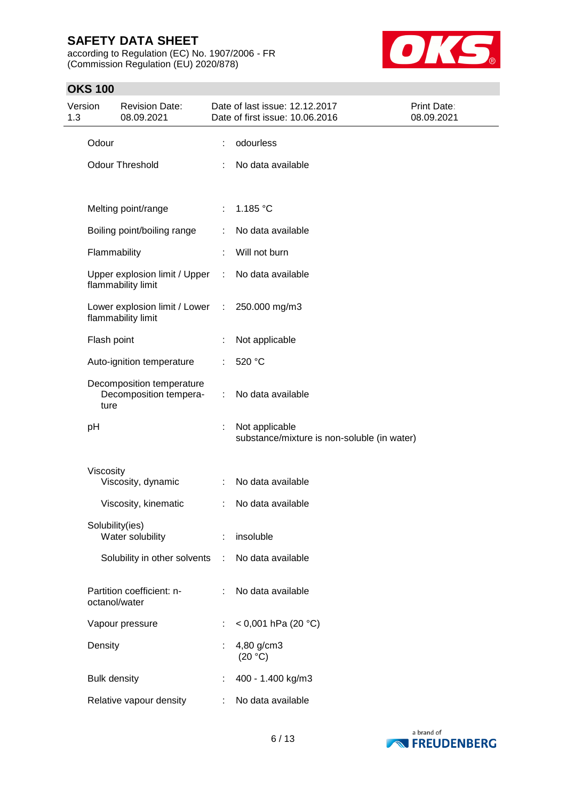according to Regulation (EC) No. 1907/2006 - FR (Commission Regulation (EU) 2020/878)



# **OKS 100**

| Version<br>1.3 |                     | <b>Revision Date:</b><br>08.09.2021                 |   | Date of last issue: 12.12.2017<br>Date of first issue: 10.06.2016 | Print Date:<br>08.09.2021 |
|----------------|---------------------|-----------------------------------------------------|---|-------------------------------------------------------------------|---------------------------|
|                | Odour               |                                                     |   | odourless                                                         |                           |
|                |                     | <b>Odour Threshold</b>                              |   | No data available                                                 |                           |
|                |                     | Melting point/range                                 | ÷ | 1.185 °C                                                          |                           |
|                |                     | Boiling point/boiling range                         |   | No data available                                                 |                           |
|                | Flammability        |                                                     |   | Will not burn                                                     |                           |
|                |                     | Upper explosion limit / Upper<br>flammability limit |   | No data available                                                 |                           |
|                |                     | Lower explosion limit / Lower<br>flammability limit | ÷ | 250.000 mg/m3                                                     |                           |
|                | Flash point         |                                                     |   | Not applicable                                                    |                           |
|                |                     | Auto-ignition temperature                           |   | 520 °C                                                            |                           |
|                | ture                | Decomposition temperature<br>Decomposition tempera- | ÷ | No data available                                                 |                           |
|                | pH                  |                                                     | t | Not applicable<br>substance/mixture is non-soluble (in water)     |                           |
|                | Viscosity           | Viscosity, dynamic                                  | ÷ | No data available                                                 |                           |
|                |                     | Viscosity, kinematic                                |   | No data available                                                 |                           |
|                | Solubility(ies)     | Water solubility                                    |   | insoluble                                                         |                           |
|                |                     | Solubility in other solvents                        | ÷ | No data available                                                 |                           |
|                | octanol/water       | Partition coefficient: n-                           | t | No data available                                                 |                           |
|                |                     | Vapour pressure                                     | t | < 0,001 hPa (20 °C)                                               |                           |
|                | Density             |                                                     |   | 4,80 g/cm3<br>(20 °C)                                             |                           |
|                | <b>Bulk density</b> |                                                     | t | 400 - 1.400 kg/m3                                                 |                           |
|                |                     | Relative vapour density                             | ÷ | No data available                                                 |                           |

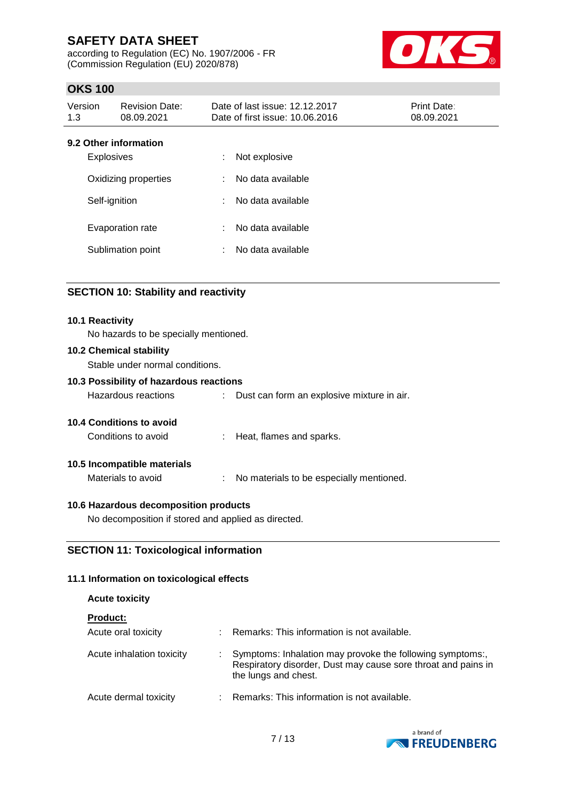according to Regulation (EC) No. 1907/2006 - FR (Commission Regulation (EU) 2020/878)



# **OKS 100**

| Version<br>1.3                             | <b>Revision Date:</b><br>08.09.2021 |   | Date of last issue: 12.12.2017<br>Date of first issue: 10.06.2016 | <b>Print Date:</b><br>08.09.2021 |
|--------------------------------------------|-------------------------------------|---|-------------------------------------------------------------------|----------------------------------|
| 9.2 Other information<br><b>Explosives</b> |                                     | ÷ | Not explosive                                                     |                                  |
| Oxidizing properties                       |                                     | ÷ | No data available                                                 |                                  |
| Self-ignition                              |                                     | ÷ | No data available                                                 |                                  |
| Evaporation rate                           |                                     | ÷ | No data available                                                 |                                  |
| Sublimation point                          |                                     |   | No data available                                                 |                                  |

# **SECTION 10: Stability and reactivity**

#### **10.1 Reactivity**

No hazards to be specially mentioned.

#### **10.2 Chemical stability**

Stable under normal conditions.

# **10.3 Possibility of hazardous reactions**

Hazardous reactions : Dust can form an explosive mixture in air.

#### **10.4 Conditions to avoid**

Conditions to avoid : Heat, flames and sparks.

### **10.5 Incompatible materials**

Materials to avoid : No materials to be especially mentioned.

### **10.6 Hazardous decomposition products**

No decomposition if stored and applied as directed.

### **SECTION 11: Toxicological information**

### **11.1 Information on toxicological effects**

### **Acute toxicity**

**Product:**

| .                         |                                                                                                                                                    |
|---------------------------|----------------------------------------------------------------------------------------------------------------------------------------------------|
| Acute oral toxicity       | : Remarks: This information is not available.                                                                                                      |
| Acute inhalation toxicity | Symptoms: Inhalation may provoke the following symptoms:,<br>Respiratory disorder, Dust may cause sore throat and pains in<br>the lungs and chest. |
| Acute dermal toxicity     | : Remarks: This information is not available.                                                                                                      |

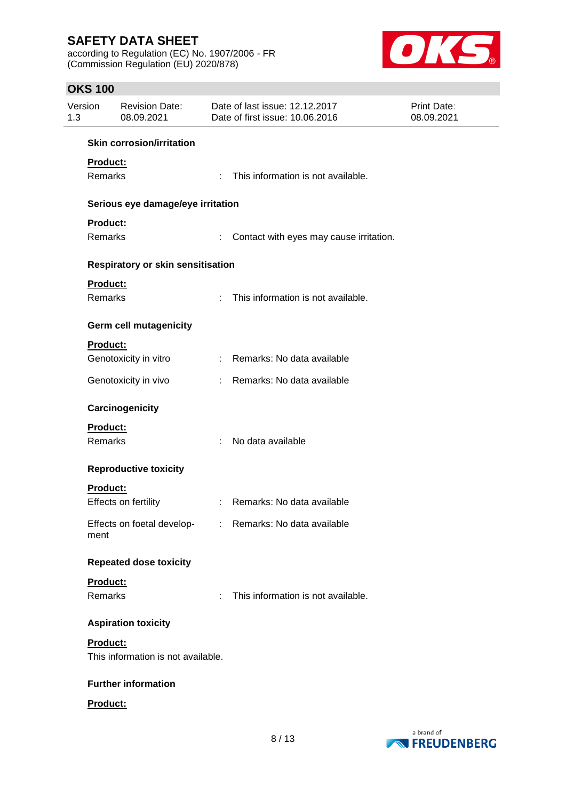according to Regulation (EC) No. 1907/2006 - FR (Commission Regulation (EU) 2020/878)



# **OKS 100**

| Version<br>1.3 |                            | <b>Revision Date:</b><br>08.09.2021      |    | Date of last issue: 12.12.2017<br>Date of first issue: 10.06.2016 | Print Date:<br>08.09.2021 |
|----------------|----------------------------|------------------------------------------|----|-------------------------------------------------------------------|---------------------------|
|                |                            | <b>Skin corrosion/irritation</b>         |    |                                                                   |                           |
|                | Product:<br>Remarks        |                                          |    | : This information is not available.                              |                           |
|                |                            | Serious eye damage/eye irritation        |    |                                                                   |                           |
|                | Product:                   |                                          |    |                                                                   |                           |
|                | Remarks                    |                                          | ÷. | Contact with eyes may cause irritation.                           |                           |
|                |                            | <b>Respiratory or skin sensitisation</b> |    |                                                                   |                           |
|                | Product:<br><b>Remarks</b> |                                          |    | : This information is not available.                              |                           |
|                |                            | <b>Germ cell mutagenicity</b>            |    |                                                                   |                           |
|                | <b>Product:</b>            |                                          |    |                                                                   |                           |
|                |                            | Genotoxicity in vitro                    |    | : Remarks: No data available                                      |                           |
|                |                            | Genotoxicity in vivo                     |    | : Remarks: No data available                                      |                           |
|                |                            | Carcinogenicity                          |    |                                                                   |                           |
|                | Product:                   |                                          |    |                                                                   |                           |
|                | Remarks                    |                                          | ÷  | No data available                                                 |                           |
|                |                            | <b>Reproductive toxicity</b>             |    |                                                                   |                           |
|                | Product:                   |                                          |    |                                                                   |                           |
|                |                            | Effects on fertility                     |    | : Remarks: No data available                                      |                           |
|                | ment                       |                                          |    | Effects on foetal develop- : Remarks: No data available           |                           |
|                |                            | <b>Repeated dose toxicity</b>            |    |                                                                   |                           |
|                | Product:                   |                                          |    |                                                                   |                           |
|                | Remarks                    |                                          |    | : This information is not available.                              |                           |
|                |                            | <b>Aspiration toxicity</b>               |    |                                                                   |                           |
|                | Product:                   | This information is not available.       |    |                                                                   |                           |
|                |                            | <b>Further information</b>               |    |                                                                   |                           |
|                | Product:                   |                                          |    |                                                                   |                           |

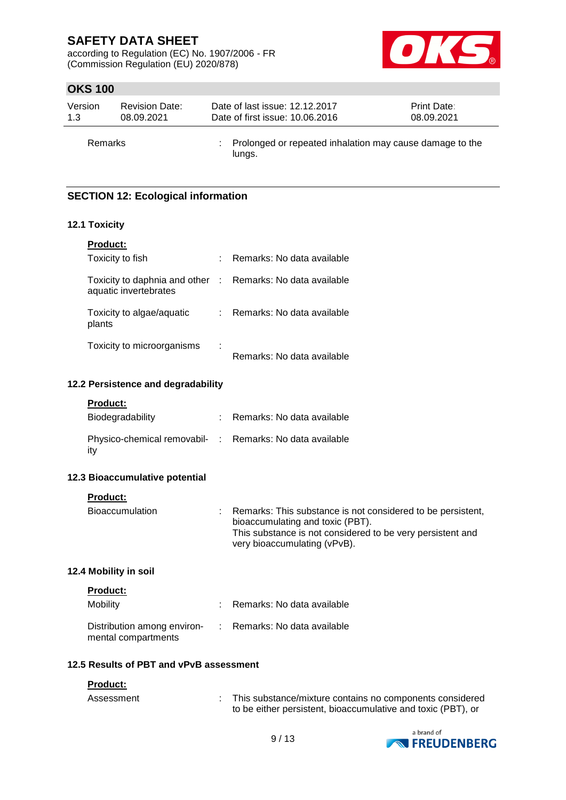according to Regulation (EC) No. 1907/2006 - FR (Commission Regulation (EU) 2020/878)



# **OKS 100**

| Version | <b>Revision Date:</b> | Date of last issue: 12.12.2017                                       | <b>Print Date:</b> |
|---------|-----------------------|----------------------------------------------------------------------|--------------------|
| 1.3     | 08.09.2021            | Date of first issue: 10.06.2016                                      | 08.09.2021         |
| Remarks |                       | : Prolonged or repeated inhalation may cause damage to the<br>lungs. |                    |

# **SECTION 12: Ecological information**

## **12.1 Toxicity**

| <b>Product:</b>                                          |   |                            |
|----------------------------------------------------------|---|----------------------------|
| Toxicity to fish                                         |   | Remarks: No data available |
| Toxicity to daphnia and other :<br>aquatic invertebrates |   | Remarks: No data available |
| Toxicity to algae/aquatic<br>plants                      |   | Remarks: No data available |
| Toxicity to microorganisms                               | ÷ | Remarks: No data available |

#### **12.2 Persistence and degradability**

| Product: |
|----------|
|          |

| Biodegradability                                                | : Remarks: No data available |
|-----------------------------------------------------------------|------------------------------|
| Physico-chemical removabil- : Remarks: No data available<br>ity |                              |

#### **12.3 Bioaccumulative potential**

**Product:**

| <b>Bioaccumulation</b> | : Remarks: This substance is not considered to be persistent, |
|------------------------|---------------------------------------------------------------|
|                        | bioaccumulating and toxic (PBT).                              |
|                        | This substance is not considered to be very persistent and    |
|                        | very bioaccumulating (vPvB).                                  |

### **12.4 Mobility in soil**

| <b>Product:</b>                                    |                |                            |
|----------------------------------------------------|----------------|----------------------------|
| Mobility                                           |                | Remarks: No data available |
| Distribution among environ-<br>mental compartments | <b>Part 19</b> | Remarks: No data available |

#### **12.5 Results of PBT and vPvB assessment**

#### **Product:**

| Assessment | This substance/mixture contains no components considered     |
|------------|--------------------------------------------------------------|
|            | to be either persistent, bioaccumulative and toxic (PBT), or |

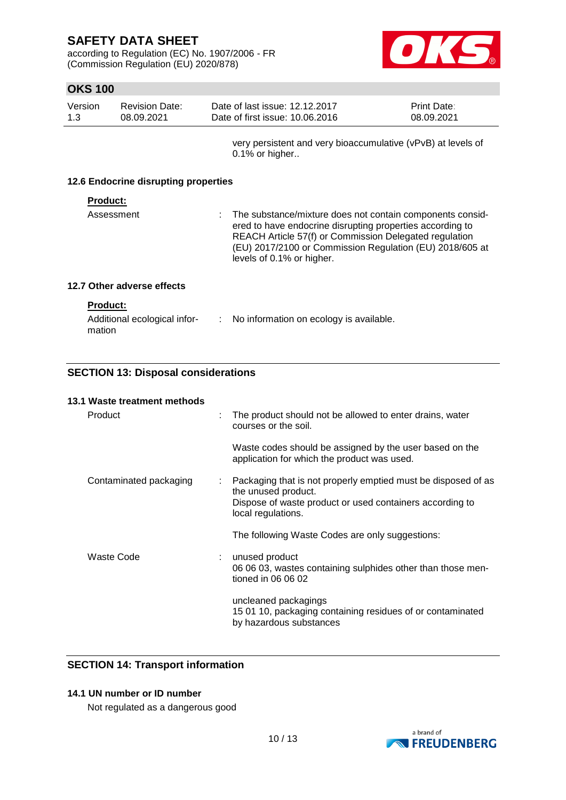according to Regulation (EC) No. 1907/2006 - FR (Commission Regulation (EU) 2020/878)



# **OKS 100**

| Version | <b>Revision Date:</b> | Date of last issue: 12.12.2017  | <b>Print Date:</b> |
|---------|-----------------------|---------------------------------|--------------------|
| 1.3     | 08.09.2021            | Date of first issue: 10.06.2016 | 08.09.2021         |
|         |                       |                                 |                    |

very persistent and very bioaccumulative (vPvB) at levels of 0.1% or higher..

#### **12.6 Endocrine disrupting properties**

#### **Product:**

| Assessment | : The substance/mixture does not contain components consid-<br>ered to have endocrine disrupting properties according to<br>REACH Article 57(f) or Commission Delegated regulation<br>(EU) 2017/2100 or Commission Regulation (EU) 2018/605 at<br>levels of 0.1% or higher. |
|------------|-----------------------------------------------------------------------------------------------------------------------------------------------------------------------------------------------------------------------------------------------------------------------------|
|------------|-----------------------------------------------------------------------------------------------------------------------------------------------------------------------------------------------------------------------------------------------------------------------------|

# **12.7 Other adverse effects**

|--|

| Additional ecological infor- | No information on ecology is available. |
|------------------------------|-----------------------------------------|
| mation                       |                                         |

# **SECTION 13: Disposal considerations**

# **13.1 Waste treatment methods** Product : The product should not be allowed to enter drains, water courses or the soil. Waste codes should be assigned by the user based on the application for which the product was used. Contaminated packaging : Packaging that is not properly emptied must be disposed of as the unused product. Dispose of waste product or used containers according to local regulations. The following Waste Codes are only suggestions: Waste Code : unused product 06 06 03, wastes containing sulphides other than those mentioned in 06 06 02 uncleaned packagings 15 01 10, packaging containing residues of or contaminated by hazardous substances

### **SECTION 14: Transport information**

# **14.1 UN number or ID number**

Not regulated as a dangerous good

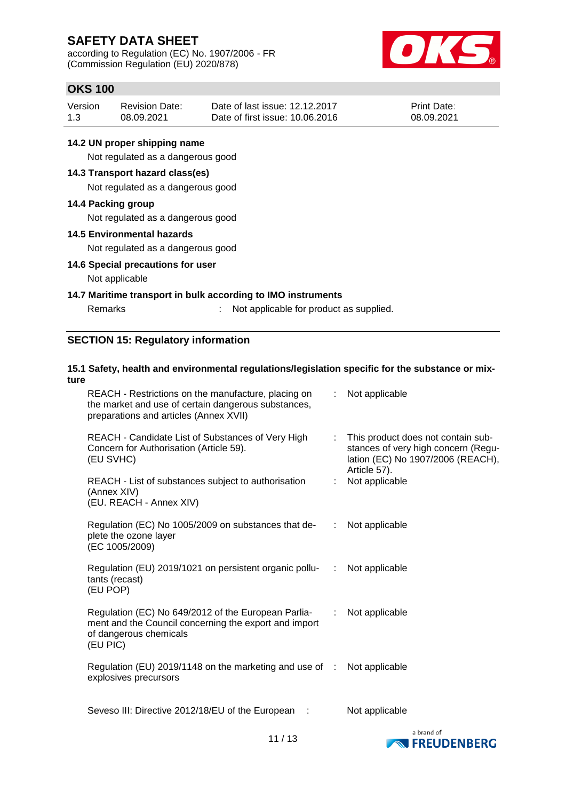according to Regulation (EC) No. 1907/2006 - FR (Commission Regulation (EU) 2020/878)



**EXPRESSION FREUDENBERG** 

# **OKS 100**

| Version | <b>Revision Date:</b> | Date of last issue: 12.12.2017  | <b>Print Date:</b> |
|---------|-----------------------|---------------------------------|--------------------|
| 1.3     | 08.09.2021            | Date of first issue: 10.06.2016 | 08.09.2021         |

# **14.2 UN proper shipping name**

Not regulated as a dangerous good

# **14.3 Transport hazard class(es)**

Not regulated as a dangerous good

#### **14.4 Packing group**

Not regulated as a dangerous good

#### **14.5 Environmental hazards**

Not regulated as a dangerous good

### **14.6 Special precautions for user**

#### Not applicable

### **14.7 Maritime transport in bulk according to IMO instruments**

Remarks : Not applicable for product as supplied.

# **SECTION 15: Regulatory information**

#### **15.1 Safety, health and environmental regulations/legislation specific for the substance or mixture** REACH - Restrictions on the manufacture, placing on : Not applicable

| REACH - Restrictions on the manufacture, placing on<br>the market and use of certain dangerous substances,<br>preparations and articles (Annex XVII) |                       | $:$ Not applicable                                                                                                             |
|------------------------------------------------------------------------------------------------------------------------------------------------------|-----------------------|--------------------------------------------------------------------------------------------------------------------------------|
| REACH - Candidate List of Substances of Very High<br>Concern for Authorisation (Article 59).<br>(EU SVHC)                                            | t.                    | This product does not contain sub-<br>stances of very high concern (Regu-<br>lation (EC) No 1907/2006 (REACH),<br>Article 57). |
| REACH - List of substances subject to authorisation<br>(Annex XIV)<br>(EU. REACH - Annex XIV)                                                        |                       | Not applicable                                                                                                                 |
| Regulation (EC) No 1005/2009 on substances that de-<br>plete the ozone layer<br>(EC 1005/2009)                                                       |                       | : Not applicable                                                                                                               |
| Regulation (EU) 2019/1021 on persistent organic pollu- : Not applicable<br>tants (recast)<br>(EU POP)                                                |                       |                                                                                                                                |
| Regulation (EC) No 649/2012 of the European Parlia-<br>ment and the Council concerning the export and import<br>of dangerous chemicals<br>(EU PIC)   | $\mathbb{Z}^{\times}$ | Not applicable                                                                                                                 |
| Regulation (EU) 2019/1148 on the marketing and use of : Not applicable<br>explosives precursors                                                      |                       |                                                                                                                                |
| Seveso III: Directive 2012/18/EU of the European :                                                                                                   |                       | Not applicable<br>a brand of                                                                                                   |
|                                                                                                                                                      |                       |                                                                                                                                |

11 / 13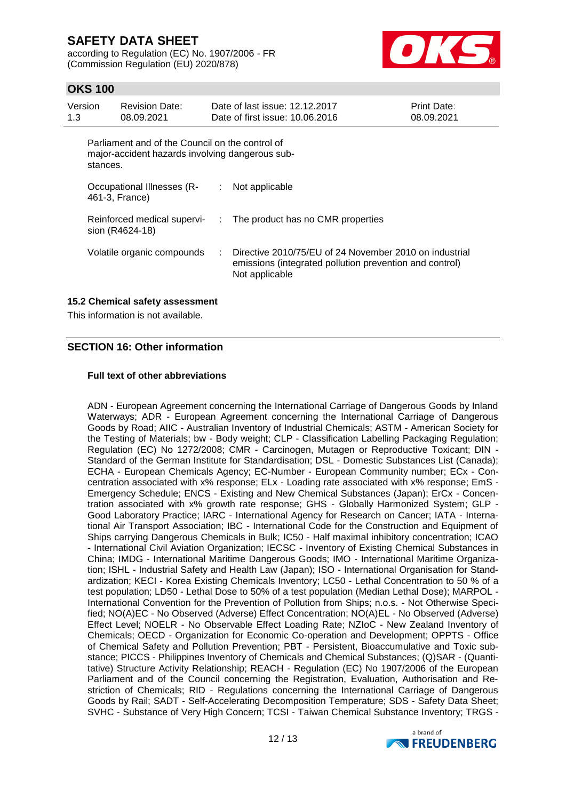according to Regulation (EC) No. 1907/2006 - FR (Commission Regulation (EU) 2020/878)



# **OKS 100**

| Version<br>1.3 | <b>Revision Date:</b><br>08.09.2021                                                                            |    | Date of last issue: 12.12.2017<br>Date of first issue: 10.06.2016                                                                   | <b>Print Date:</b><br>08.09.2021 |
|----------------|----------------------------------------------------------------------------------------------------------------|----|-------------------------------------------------------------------------------------------------------------------------------------|----------------------------------|
|                | Parliament and of the Council on the control of<br>major-accident hazards involving dangerous sub-<br>stances. |    |                                                                                                                                     |                                  |
|                | Occupational Illnesses (R-<br>461-3, France)                                                                   | ÷. | Not applicable                                                                                                                      |                                  |
|                | Reinforced medical supervi-<br>sion (R4624-18)                                                                 |    | : The product has no CMR properties                                                                                                 |                                  |
|                | Volatile organic compounds                                                                                     |    | Directive 2010/75/EU of 24 November 2010 on industrial<br>emissions (integrated pollution prevention and control)<br>Not applicable |                                  |

# **15.2 Chemical safety assessment**

This information is not available.

# **SECTION 16: Other information**

#### **Full text of other abbreviations**

ADN - European Agreement concerning the International Carriage of Dangerous Goods by Inland Waterways; ADR - European Agreement concerning the International Carriage of Dangerous Goods by Road; AIIC - Australian Inventory of Industrial Chemicals; ASTM - American Society for the Testing of Materials; bw - Body weight; CLP - Classification Labelling Packaging Regulation; Regulation (EC) No 1272/2008; CMR - Carcinogen, Mutagen or Reproductive Toxicant; DIN - Standard of the German Institute for Standardisation; DSL - Domestic Substances List (Canada); ECHA - European Chemicals Agency; EC-Number - European Community number; ECx - Concentration associated with x% response; ELx - Loading rate associated with x% response; EmS - Emergency Schedule; ENCS - Existing and New Chemical Substances (Japan); ErCx - Concentration associated with x% growth rate response; GHS - Globally Harmonized System; GLP - Good Laboratory Practice; IARC - International Agency for Research on Cancer; IATA - International Air Transport Association; IBC - International Code for the Construction and Equipment of Ships carrying Dangerous Chemicals in Bulk; IC50 - Half maximal inhibitory concentration; ICAO - International Civil Aviation Organization; IECSC - Inventory of Existing Chemical Substances in China; IMDG - International Maritime Dangerous Goods; IMO - International Maritime Organization; ISHL - Industrial Safety and Health Law (Japan); ISO - International Organisation for Standardization; KECI - Korea Existing Chemicals Inventory; LC50 - Lethal Concentration to 50 % of a test population; LD50 - Lethal Dose to 50% of a test population (Median Lethal Dose); MARPOL - International Convention for the Prevention of Pollution from Ships; n.o.s. - Not Otherwise Specified; NO(A)EC - No Observed (Adverse) Effect Concentration; NO(A)EL - No Observed (Adverse) Effect Level; NOELR - No Observable Effect Loading Rate; NZIoC - New Zealand Inventory of Chemicals; OECD - Organization for Economic Co-operation and Development; OPPTS - Office of Chemical Safety and Pollution Prevention; PBT - Persistent, Bioaccumulative and Toxic substance; PICCS - Philippines Inventory of Chemicals and Chemical Substances; (Q)SAR - (Quantitative) Structure Activity Relationship; REACH - Regulation (EC) No 1907/2006 of the European Parliament and of the Council concerning the Registration, Evaluation, Authorisation and Restriction of Chemicals; RID - Regulations concerning the International Carriage of Dangerous Goods by Rail; SADT - Self-Accelerating Decomposition Temperature; SDS - Safety Data Sheet; SVHC - Substance of Very High Concern; TCSI - Taiwan Chemical Substance Inventory; TRGS -